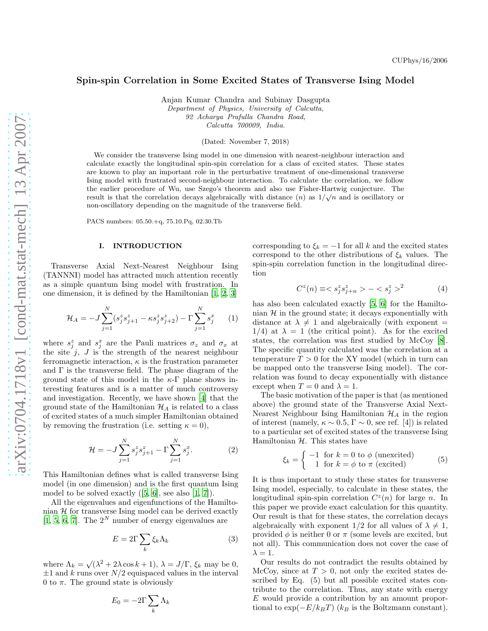# Spin-spin Correlation in Some Excited States of Transverse Ising Model

Anjan Kumar Chandra and Subinay Dasgupta Department of Physics, University of Calcutta, 92 Acharya Prafulla Chandra Road, Calcutta 700009, India.

(Dated: November 7, 2018)

We consider the transverse Ising model in one dimension with nearest-neighbour interaction and calculate exactly the longitudinal spin-spin correlation for a class of excited states. These states are known to play an important role in the perturbative treatment of one-dimensional transverse Ising model with frustrated second-neighbour interaction. To calculate the correlation, we follow the earlier procedure of Wu, use Szego's theorem and also use Fisher-Hartwig conjecture. The result is that the correlation decays algebraically with distance  $(n)$  as  $1/\sqrt{n}$  and is oscillatory or non-oscillatory depending on the magnitude of the transverse field.

PACS numbers: 05.50.+q, 75.10.Pq, 02.30.Tb

### I. INTRODUCTION

Transverse Axial Next-Nearest Neighbour Ising (TANNNI) model has attracted much attention recently as a simple quantum Ising model with frustration. In one dimension, it is defined by the Hamiltonian [\[1,](#page-4-0) [2,](#page-4-1) [3\]](#page-4-2)

$$
\mathcal{H}_A = -J \sum_{j=1}^N (s_j^z s_{j+1}^z - \kappa s_j^z s_{j+2}^z) - \Gamma \sum_{j=1}^N s_j^x \qquad (1)
$$

where  $s_j^z$  and  $s_j^x$  are the Pauli matrices  $\sigma_z$  and  $\sigma_x$  at the site  $j$ ,  $J$  is the strength of the nearest neighbour ferromagnetic interaction,  $\kappa$  is the frustration parameter and  $\Gamma$  is the transverse field. The phase diagram of the ground state of this model in the  $\kappa$ -Γ plane shows interesting features and is a matter of much controversy and investigation. Recently, we have shown [\[4\]](#page-4-3) that the ground state of the Hamiltonian  $\mathcal{H}_A$  is related to a class of excited states of a much simpler Hamiltonian obtained by removing the frustration (i.e. setting  $\kappa = 0$ ),

$$
\mathcal{H} = -J \sum_{j=1}^{N} s_j^z s_{j+1}^z - \Gamma \sum_{j=1}^{N} s_j^x.
$$
 (2)

This Hamiltonian defines what is called transverse Ising model (in one dimension) and is the first quantum Ising modelto be solved exactly  $([5, 6],$  $([5, 6],$  $([5, 6],$  $([5, 6],$  $([5, 6],$  see also  $[1, 7]$  $[1, 7]$  $[1, 7]$ .

All the eigenvalues and eigenfunctions of the Hamiltonian  $H$  for transverse Ising model can be derived exactly [\[1,](#page-4-0) [5,](#page-4-4) [6,](#page-4-5) [7\]](#page-4-6). The  $2^N$  number of energy eigenvalues are

$$
E = 2\Gamma \sum_{k} \xi_{k} \Lambda_{k} \tag{3}
$$

where  $\Lambda_k = \sqrt{(\lambda^2 + 2\lambda \cos k + 1)}, \lambda = J/\Gamma, \xi_k$  may be 0,  $\pm 1$  and k runs over  $N/2$  equispaced values in the interval 0 to  $\pi$ . The ground state is obviously

$$
E_0 = -2\Gamma \sum_k \Lambda_k
$$

corresponding to  $\xi_k = -1$  for all k and the excited states correspond to the other distributions of  $\xi_k$  values. The spin-spin correlation function in the longitudinal direction

$$
C^{z}(n) \equiv \langle s_j^{z} s_{j+n}^{z} \rangle - \langle s_j^{z} \rangle^{2}
$$
 (4)

has also been calculated exactly [\[5,](#page-4-4) [6\]](#page-4-5) for the Hamiltonian  $H$  in the ground state; it decays exponentially with distance at  $\lambda \neq 1$  and algebraically (with exponent =  $1/4$ ) at  $\lambda = 1$  (the critical point). As for the excited states, the correlation was first studied by McCoy [\[8\]](#page-4-7). The specific quantity calculated was the correlation at a temperature  $T > 0$  for the XY model (which in turn can be mapped onto the transverse Ising model). The correlation was found to decay exponentially with distance except when  $T = 0$  and  $\lambda = 1$ .

The basic motivation of the paper is that (as mentioned above) the ground state of the Transverse Axial Next-Nearest Neighbour Ising Hamiltonian  $\mathcal{H}_A$  in the region of interest (namely,  $\kappa \sim 0.5$ ,  $\Gamma \sim 0$ , see ref. [4]) is related to a particular set of excited states of the transverse Ising Hamiltonian  $H$ . This states have

$$
\xi_k = \begin{cases}\n-1 & \text{for } k = 0 \text{ to } \phi \text{ (unexcited)} \\
1 & \text{for } k = \phi \text{ to } \pi \text{ (excited)}\n\end{cases}
$$
\n(5)

It is thus important to study these states for transverse Ising model, especially, to calculate in these states, the longitudinal spin-spin correlation  $C^z(n)$  for large n. In this paper we provide exact calculation for this quantity. Our result is that for these states, the correlation decays algebraically with exponent  $1/2$  for all values of  $\lambda \neq 1$ , provided  $\phi$  is neither 0 or  $\pi$  (some levels are excited, but not all). This communication does not cover the case of  $\lambda = 1$ .

Our results do not contradict the results obtained by McCoy, since at  $T > 0$ , not only the excited states described by Eq. (5) but all possible excited states contribute to the correlation. Thus, any state with energy E would provide a contribution by an amount proportional to  $\exp(-E/k_BT)$  ( $k_B$  is the Boltzmann constant).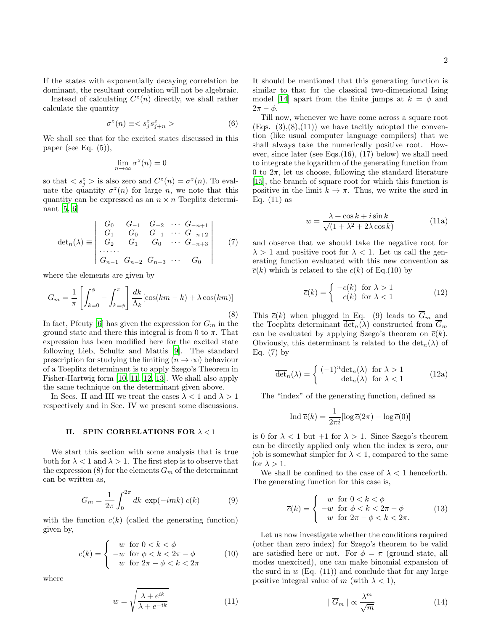If the states with exponentially decaying correlation be dominant, the resultant correlation will not be algebraic.

Instead of calculating  $C^z(n)$  directly, we shall rather calculate the quantity

$$
\sigma^z(n) \equiv  \hspace{1.5cm} (6)
$$

We shall see that for the excited states discussed in this paper (see Eq.  $(5)$ ),

$$
\lim_{n \to \infty} \sigma^z(n) = 0
$$

so that  $\langle s_j^z \rangle$  is also zero and  $C^z(n) = \sigma^z(n)$ . To evaluate the quantity  $\sigma^2(n)$  for large n, we note that this quantity can be expressed as an  $n \times n$  Toeplitz determinant [\[5,](#page-4-4) [6\]](#page-4-5)

$$
\det_n(\lambda) \equiv \begin{vmatrix} G_0 & G_{-1} & G_{-2} & \cdots & G_{-n+1} \\ G_1 & G_0 & G_{-1} & \cdots & G_{-n+2} \\ G_2 & G_1 & G_0 & \cdots & G_{-n+3} \\ \cdots & \cdots & \cdots & \cdots & \cdots \\ G_{n-1} & G_{n-2} & G_{n-3} & \cdots & G_0 \end{vmatrix} (7)
$$

where the elements are given by

$$
G_m = \frac{1}{\pi} \left[ \int_{k=0}^{\phi} - \int_{k=\phi}^{\pi} \right] \frac{dk}{\Lambda_k} [\cos(km - k) + \lambda \cos(km)] \tag{8}
$$

In fact, Pfeuty [\[6\]](#page-4-5) has given the expression for  $G_m$  in the ground state and there this integral is from 0 to  $\pi$ . That expression has been modified here for the excited state following Lieb, Schultz and Mattis [\[9\]](#page-4-8). The standard prescription for studying the limiting  $(n \to \infty)$  behaviour of a Toeplitz determinant is to apply Szego's Theorem in Fisher-Hartwig form [\[10](#page-4-9), [11,](#page-4-10) [12,](#page-4-11) [13\]](#page-4-12). We shall also apply the same technique on the determinant given above.

In Secs. II and III we treat the cases  $\lambda < 1$  and  $\lambda > 1$ respectively and in Sec. IV we present some discussions.

## II. SPIN CORRELATIONS FOR  $\lambda < 1$

We start this section with some analysis that is true both for  $\lambda < 1$  and  $\lambda > 1$ . The first step is to observe that the expression (8) for the elements  $G_m$  of the determinant can be written as,

$$
G_m = \frac{1}{2\pi} \int_0^{2\pi} dk \, \exp(-imk) \, c(k) \tag{9}
$$

with the function  $c(k)$  (called the generating function) given by,

$$
c(k) = \begin{cases} w & \text{for } 0 < k < \phi \\ -w & \text{for } \phi < k < 2\pi - \phi \\ w & \text{for } 2\pi - \phi < k < 2\pi \end{cases} \tag{10}
$$

where

$$
w = \sqrt{\frac{\lambda + e^{ik}}{\lambda + e^{-ik}}}
$$
 (11)

It should be mentioned that this generating function is similar to that for the classical two-dimensional Ising model [\[14\]](#page-4-13) apart from the finite jumps at  $k = \phi$  and  $2\pi - \phi$ .

Till now, whenever we have come across a square root  $(Eng. (3), (8), (11))$  we have tacitly adopted the convention (like usual computer language compilers) that we shall always take the numerically positive root. However, since later (see Eqs.(16), (17) below) we shall need to integrate the logarithm of the generating function from 0 to  $2\pi$ , let us choose, following the standard literature [\[15\]](#page-4-14), the branch of square root for which this function is positive in the limit  $k \to \pi$ . Thus, we write the surd in Eq.  $(11)$  as

$$
w = \frac{\lambda + \cos k + i \sin k}{\sqrt{(1 + \lambda^2 + 2\lambda \cos k)}}
$$
(11a)

and observe that we should take the negative root for  $\lambda > 1$  and positive root for  $\lambda < 1$ . Let us call the generating function evaluated with this new convention as  $\overline{c}(k)$  which is related to the  $c(k)$  of Eq.(10) by

$$
\overline{c}(k) = \begin{cases}\n-c(k) & \text{for } \lambda > 1 \\
c(k) & \text{for } \lambda < 1\n\end{cases}
$$
\n(12)

This  $\overline{c}(k)$  when plugged in Eq. (9) leads to  $\overline{G}_m$  and the Toeplitz determinant  $\overline{\det}_n(\lambda)$  constructed from  $\overline{G}_m$ can be evaluated by applying Szego's theorem on  $\overline{c}(k)$ . Obviously, this determinant is related to the  $\det_n(\lambda)$  of Eq.  $(7)$  by

$$
\overline{\det}_n(\lambda) = \begin{cases}\n(-1)^n \det_n(\lambda) & \text{for } \lambda > 1 \\
\det_n(\lambda) & \text{for } \lambda < 1\n\end{cases}
$$
\n(12a)

The "index" of the generating function, defined as

$$
\text{Ind } \overline{c}(k) = \frac{1}{2\pi i} [\log \overline{c}(2\pi) - \log \overline{c}(0)]
$$

is 0 for  $\lambda < 1$  but  $+1$  for  $\lambda > 1$ . Since Szego's theorem can be directly applied only when the index is zero, our job is somewhat simpler for  $\lambda < 1$ , compared to the same for  $\lambda > 1$ .

We shall be confined to the case of  $\lambda < 1$  henceforth. The generating function for this case is,

$$
\overline{c}(k) = \begin{cases} w & \text{for } 0 < k < \phi \\ -w & \text{for } \phi < k < 2\pi - \phi \\ w & \text{for } 2\pi - \phi < k < 2\pi. \end{cases} \tag{13}
$$

Let us now investigate whether the conditions required (other than zero index) for Szego's theorem to be valid are satisfied here or not. For  $\phi = \pi$  (ground state, all modes unexcited), one can make binomial expansion of the surd in  $w$  (Eq. (11)) and conclude that for any large positive integral value of m (with  $\lambda < 1$ ),

$$
|\overline{G}_m| \propto \frac{\lambda^m}{\sqrt{m}} \tag{14}
$$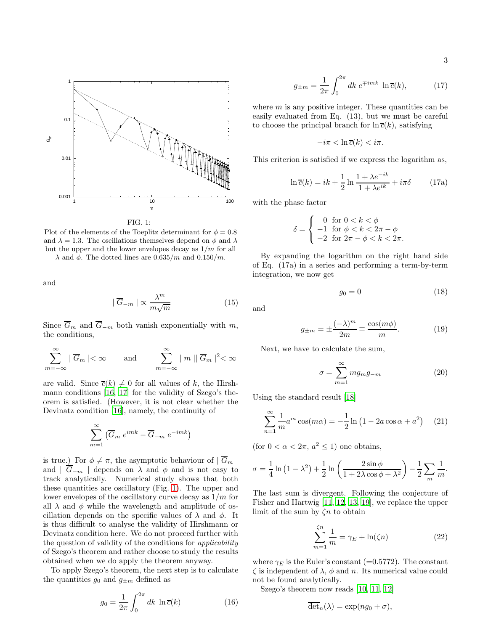

<span id="page-2-0"></span>FIG. 1:

Plot of the elements of the Toeplitz determinant for  $\phi = 0.8$ and  $\lambda = 1.3$ . The oscillations themselves depend on  $\phi$  and  $\lambda$ but the upper and the lower envelopes decay as  $1/m$  for all  $\lambda$  and  $\phi$ . The dotted lines are 0.635/m and 0.150/m.

and

$$
|\overline{G}_{-m}| \propto \frac{\lambda^m}{m\sqrt{m}}\tag{15}
$$

Since  $\overline{G}_m$  and  $\overline{G}_{-m}$  both vanish exponentially with m, the conditions,

$$
\sum_{m=-\infty}^{\infty} |\overline{G}_m| < \infty \quad \text{and} \quad \sum_{m=-\infty}^{\infty} |m| |\overline{G}_m|^2 < \infty
$$

are valid. Since  $\overline{c}(k) \neq 0$  for all values of k, the Hirshmann conditions [\[16,](#page-4-15) [17\]](#page-4-16) for the validity of Szego's theorem is satisfied. (However, it is not clear whether the Devinatz condition [\[16\]](#page-4-15), namely, the continuity of

$$
\sum_{m=1}^{\infty} \left( \overline{G}_m \ e^{imk} - \overline{G}_{-m} \ e^{-imk} \right)
$$

is true.) For  $\phi \neq \pi$ , the asymptotic behaviour of  $|\overline{G}_m|$ and  $| \overline{G}_{-m} |$  depends on  $\lambda$  and  $\phi$  and is not easy to track analytically. Numerical study shows that both these quantities are oscillatory (Fig. [1\)](#page-2-0). The upper and lower envelopes of the oscillatory curve decay as  $1/m$  for all  $\lambda$  and  $\phi$  while the wavelength and amplitude of oscillation depends on the specific values of  $\lambda$  and  $\phi$ . It is thus difficult to analyse the validity of Hirshmann or Devinatz condition here. We do not proceed further with the question of validity of the conditions for applicability of Szego's theorem and rather choose to study the results obtained when we do apply the theorem anyway.

To apply Szego's theorem, the next step is to calculate the quantities  $g_0$  and  $g_{\pm m}$  defined as

$$
g_0 = \frac{1}{2\pi} \int_0^{2\pi} dk \, \ln \overline{c}(k) \tag{16}
$$

$$
g_{\pm m} = \frac{1}{2\pi} \int_0^{2\pi} dk \ e^{\mp imk} \ \ln \overline{c}(k), \tag{17}
$$

where  $m$  is any positive integer. These quantities can be easily evaluated from Eq. (13), but we must be careful to choose the principal branch for  $\ln \overline{c}(k)$ , satisfying

 $-i\pi < \ln \overline{c}(k) < i\pi$ .

This criterion is satisfied if we express the logarithm as,

$$
\ln \overline{c}(k) = ik + \frac{1}{2} \ln \frac{1 + \lambda e^{-ik}}{1 + \lambda e^{ik}} + i\pi \delta \tag{17a}
$$

with the phase factor

$$
\delta = \begin{cases}\n0 & \text{for } 0 < k < \phi \\
-1 & \text{for } \phi < k < 2\pi - \phi \\
-2 & \text{for } 2\pi - \phi < k < 2\pi.\n\end{cases}
$$

By expanding the logarithm on the right hand side of Eq. (17a) in a series and performing a term-by-term integration, we now get

$$
g_0 = 0 \tag{18}
$$

and

$$
g_{\pm m} = \pm \frac{(-\lambda)^m}{2m} \mp \frac{\cos(m\phi)}{m}.
$$
 (19)

Next, we have to calculate the sum,

$$
\sigma = \sum_{m=1}^{\infty} m g_m g_{-m} \tag{20}
$$

Using the standard result [\[18](#page-4-17)]

$$
\sum_{n=1}^{\infty} \frac{1}{m} a^m \cos(m\alpha) = -\frac{1}{2} \ln (1 - 2a \cos \alpha + a^2)
$$
 (21)

(for  $0 < \alpha < 2\pi$ ,  $a^2 \le 1$ ) one obtains,

$$
\sigma = \frac{1}{4} \ln \left( 1 - \lambda^2 \right) + \frac{1}{2} \ln \left( \frac{2 \sin \phi}{1 + 2\lambda \cos \phi + \lambda^2} \right) - \frac{1}{2} \sum_m \frac{1}{m}.
$$

The last sum is divergent. Following the conjecture of Fisher and Hartwig [\[11,](#page-4-10) [12](#page-4-11), [13](#page-4-12), [19\]](#page-4-18), we replace the upper limit of the sum by  $\zeta n$  to obtain

$$
\sum_{m=1}^{\zeta n} \frac{1}{m} = \gamma_E + \ln(\zeta n) \tag{22}
$$

where  $\gamma_E$  is the Euler's constant (=0.5772). The constant  $\zeta$  is independent of  $\lambda$ ,  $\phi$  and n. Its numerical value could not be found analytically.

Szego's theorem now reads [\[10,](#page-4-9) [11,](#page-4-10) [12\]](#page-4-11)

$$
\overline{\det}_n(\lambda) = \exp(ng_0 + \sigma),
$$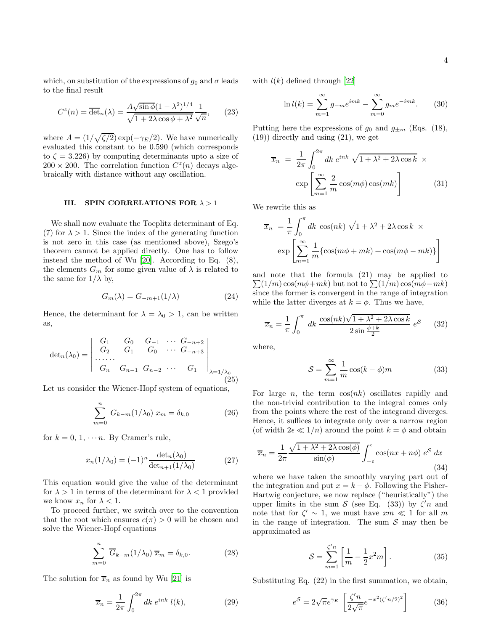which, on substitution of the expressions of  $g_0$  and  $\sigma$  leads to the final result

$$
C^{z}(n) = \overline{\det}_{n}(\lambda) = \frac{A\sqrt{\sin\phi}(1-\lambda^{2})^{1/4}}{\sqrt{1+2\lambda\cos\phi+\lambda^{2}}}\frac{1}{\sqrt{n}},\qquad(23)
$$

where  $A = (1/\sqrt{\zeta/2}) \exp(-\gamma_E/2)$ . We have numerically evaluated this constant to be 0.590 (which corresponds to  $\zeta = 3.226$ ) by computing determinants upto a size of  $200 \times 200$ . The correlation function  $C^z(n)$  decays algebraically with distance without any oscillation.

#### III. SPIN CORRELATIONS FOR  $\lambda > 1$

We shall now evaluate the Toeplitz determinant of Eq. (7) for  $\lambda > 1$ . Since the index of the generating function is not zero in this case (as mentioned above), Szego's theorem cannot be applied directly. One has to follow instead the method of Wu [\[20](#page-4-19)]. According to Eq. (8), the elements  $G_m$  for some given value of  $\lambda$  is related to the same for  $1/\lambda$  by,

$$
G_m(\lambda) = G_{-m+1}(1/\lambda) \tag{24}
$$

Hence, the determinant for  $\lambda = \lambda_0 > 1$ , can be written as,

$$
\det_n(\lambda_0) = \begin{vmatrix} G_1 & G_0 & G_{-1} & \cdots & G_{-n+2} \\ G_2 & G_1 & G_0 & \cdots & G_{-n+3} \\ \cdots & \cdots & \cdots & \cdots & \cdots \\ G_n & G_{n-1} & G_{n-2} & \cdots & G_1 \end{vmatrix}_{\lambda = 1/\lambda_0}
$$
(25)

Let us consider the Wiener-Hopf system of equations,

$$
\sum_{m=0}^{n} G_{k-m}(1/\lambda_0) x_m = \delta_{k,0}
$$
 (26)

for  $k = 0, 1, \cdots n$ . By Cramer's rule,

$$
x_n(1/\lambda_0) = (-1)^n \frac{\det_n(\lambda_0)}{\det_{n+1}(1/\lambda_0)}
$$
 (27)

This equation would give the value of the determinant for  $\lambda > 1$  in terms of the determinant for  $\lambda < 1$  provided we know  $x_n$  for  $\lambda < 1$ .

To proceed further, we switch over to the convention that the root which ensures  $c(\pi) > 0$  will be chosen and solve the Wiener-Hopf equations

$$
\sum_{m=0}^{n} \overline{G}_{k-m}(1/\lambda_0) \overline{x}_m = \delta_{k,0}.
$$
 (28)

The solution for  $\overline{x}_n$  as found by Wu [\[21\]](#page-4-20) is

$$
\overline{x}_n = \frac{1}{2\pi} \int_0^{2\pi} dk \; e^{ink} \; l(k), \tag{29}
$$

with  $l(k)$  defined through [\[22](#page-4-21)]

$$
\ln l(k) = \sum_{m=1}^{\infty} g_{-m} e^{imk} - \sum_{m=0}^{\infty} g_m e^{-imk}.
$$
 (30)

Putting here the expressions of  $g_0$  and  $g_{\pm m}$  (Eqs. (18), (19)) directly and using (21), we get

$$
\overline{x}_n = \frac{1}{2\pi} \int_0^{2\pi} dk \, e^{ink} \sqrt{1 + \lambda^2 + 2\lambda \cos k} \times \exp\left[\sum_{m=1}^\infty \frac{2}{m} \cos(m\phi) \cos(mk)\right]
$$
(31)

We rewrite this as

 $\overline{a}$ 

$$
\overline{x}_n = \frac{1}{\pi} \int_0^{\pi} dk \cos(nk) \sqrt{1 + \lambda^2 + 2\lambda \cos k} \times
$$

$$
\exp \left[ \sum_{m=1}^{\infty} \frac{1}{m} \{ \cos(m\phi + mk) + \cos(m\phi - mk) \} \right]
$$

and note that the formula (21) may be applied to  $\sum(1/m) \cos(m\phi + mk)$  but not to  $\sum(1/m) \cos(m\phi - mk)$ since the former is convergent in the range of integration while the latter diverges at  $k = \phi$ . Thus we have,

$$
\overline{x}_n = \frac{1}{\pi} \int_0^{\pi} dk \frac{\cos(nk)\sqrt{1 + \lambda^2 + 2\lambda \cos k}}{2\sin\frac{\phi + k}{2}} e^{\mathcal{S}} \qquad (32)
$$

where,

$$
S = \sum_{m=1}^{\infty} \frac{1}{m} \cos(k - \phi)m
$$
 (33)

For large *n*, the term  $cos(nk)$  oscillates rapidly and the non-trivial contribution to the integral comes only from the points where the rest of the integrand diverges. Hence, it suffices to integrate only over a narrow region (of width  $2\epsilon \ll 1/n$ ) around the point  $k = \phi$  and obtain

$$
\overline{x}_n = \frac{1}{2\pi} \frac{\sqrt{1 + \lambda^2 + 2\lambda \cos(\phi)}}{\sin(\phi)} \int_{-\epsilon}^{\epsilon} \cos(nx + n\phi) e^S dx
$$
\n(34)

where we have taken the smoothly varying part out of the integration and put  $x = k - \phi$ . Following the Fisher-Hartwig conjecture, we now replace ("heuristically") the upper limits in the sum  $S$  (see Eq. (33)) by  $\zeta' n$  and note that for  $\zeta' \sim 1$ , we must have  $xm \ll 1$  for all m in the range of integration. The sum  $S$  may then be approximated as

$$
S = \sum_{m=1}^{\zeta'n} \left[ \frac{1}{m} - \frac{1}{2} x^2 m \right]. \tag{35}
$$

Substituting Eq. (22) in the first summation, we obtain,

$$
e^{\mathcal{S}} = 2\sqrt{\pi}e^{\gamma_E} \left[ \frac{\zeta' n}{2\sqrt{\pi}} e^{-x^2(\zeta' n/2)^2} \right] \tag{36}
$$